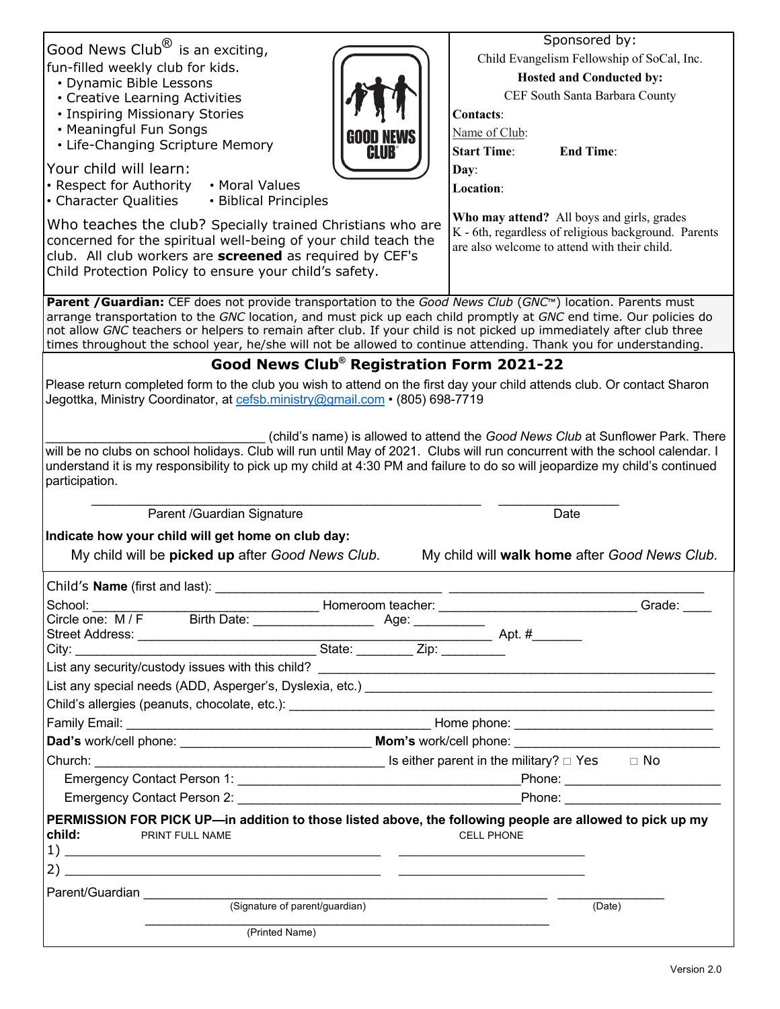|                                                                                                                                                                                                                                                                                                                                                              | Sponsored by:                                                                                                                                      |  |
|--------------------------------------------------------------------------------------------------------------------------------------------------------------------------------------------------------------------------------------------------------------------------------------------------------------------------------------------------------------|----------------------------------------------------------------------------------------------------------------------------------------------------|--|
| Good News Club $^{\circledR}$ is an exciting,<br>fun-filled weekly club for kids.                                                                                                                                                                                                                                                                            | Child Evangelism Fellowship of SoCal, Inc.                                                                                                         |  |
| • Dynamic Bible Lessons                                                                                                                                                                                                                                                                                                                                      | Hosted and Conducted by:                                                                                                                           |  |
| • Creative Learning Activities                                                                                                                                                                                                                                                                                                                               | CEF South Santa Barbara County                                                                                                                     |  |
| • Inspiring Missionary Stories                                                                                                                                                                                                                                                                                                                               | <b>Contacts:</b>                                                                                                                                   |  |
| • Meaningful Fun Songs                                                                                                                                                                                                                                                                                                                                       | Name of Club:                                                                                                                                      |  |
| • Life-Changing Scripture Memory<br><b>CLUB</b>                                                                                                                                                                                                                                                                                                              | <b>Start Time:</b><br><b>End Time:</b>                                                                                                             |  |
| Your child will learn:                                                                                                                                                                                                                                                                                                                                       | Day:                                                                                                                                               |  |
| • Respect for Authority<br>• Moral Values                                                                                                                                                                                                                                                                                                                    | Location:                                                                                                                                          |  |
| • Character Qualities<br>• Biblical Principles                                                                                                                                                                                                                                                                                                               |                                                                                                                                                    |  |
| Who teaches the club? Specially trained Christians who are<br>concerned for the spiritual well-being of your child teach the                                                                                                                                                                                                                                 | Who may attend? All boys and girls, grades<br>K - 6th, regardless of religious background. Parents<br>are also welcome to attend with their child. |  |
| club. All club workers are screened as required by CEF's                                                                                                                                                                                                                                                                                                     |                                                                                                                                                    |  |
| Child Protection Policy to ensure your child's safety.                                                                                                                                                                                                                                                                                                       |                                                                                                                                                    |  |
|                                                                                                                                                                                                                                                                                                                                                              |                                                                                                                                                    |  |
| Parent / Guardian: CEF does not provide transportation to the Good News Club (GNC <sup>M</sup> ) location. Parents must                                                                                                                                                                                                                                      |                                                                                                                                                    |  |
| arrange transportation to the GNC location, and must pick up each child promptly at GNC end time. Our policies do<br>not allow GNC teachers or helpers to remain after club. If your child is not picked up immediately after club three<br>times throughout the school year, he/she will not be allowed to continue attending. Thank you for understanding. |                                                                                                                                                    |  |
| Good News Club® Registration Form 2021-22                                                                                                                                                                                                                                                                                                                    |                                                                                                                                                    |  |
| Please return completed form to the club you wish to attend on the first day your child attends club. Or contact Sharon                                                                                                                                                                                                                                      |                                                                                                                                                    |  |
| Jegottka, Ministry Coordinator, at cefsb.ministry@gmail.com • (805) 698-7719                                                                                                                                                                                                                                                                                 |                                                                                                                                                    |  |
|                                                                                                                                                                                                                                                                                                                                                              |                                                                                                                                                    |  |
|                                                                                                                                                                                                                                                                                                                                                              | (child's name) is allowed to attend the Good News Club at Sunflower Park. There                                                                    |  |
| will be no clubs on school holidays. Club will run until May of 2021. Clubs will run concurrent with the school calendar. I                                                                                                                                                                                                                                  |                                                                                                                                                    |  |
| understand it is my responsibility to pick up my child at 4:30 PM and failure to do so will jeopardize my child's continued<br>participation.                                                                                                                                                                                                                |                                                                                                                                                    |  |
|                                                                                                                                                                                                                                                                                                                                                              |                                                                                                                                                    |  |
|                                                                                                                                                                                                                                                                                                                                                              |                                                                                                                                                    |  |
|                                                                                                                                                                                                                                                                                                                                                              |                                                                                                                                                    |  |
| Parent /Guardian Signature                                                                                                                                                                                                                                                                                                                                   | Date                                                                                                                                               |  |
| Indicate how your child will get home on club day:                                                                                                                                                                                                                                                                                                           |                                                                                                                                                    |  |
| My child will be <b>picked up</b> after Good News Club.                                                                                                                                                                                                                                                                                                      | My child will walk home after Good News Club.                                                                                                      |  |
| Child's Name (first and last):                                                                                                                                                                                                                                                                                                                               |                                                                                                                                                    |  |
|                                                                                                                                                                                                                                                                                                                                                              |                                                                                                                                                    |  |
| School:<br>________ Homeroom teacher: _                                                                                                                                                                                                                                                                                                                      | Grade:                                                                                                                                             |  |
|                                                                                                                                                                                                                                                                                                                                                              |                                                                                                                                                    |  |
| Circle one: M/F Birth Date: Address: Apt. # Age: Address: Apt. # Age: Address: Apt. # Apt. # Apt. # Apt. # Apt. # Apt. # Apt. # Apt. # Apt. # Apt. # Apt. # Apt. # Apt. # Apt. # Apt. # Apt. # Apt. # Apt. # Apt. # Apt. # Apt                                                                                                                               |                                                                                                                                                    |  |
|                                                                                                                                                                                                                                                                                                                                                              |                                                                                                                                                    |  |
|                                                                                                                                                                                                                                                                                                                                                              |                                                                                                                                                    |  |
|                                                                                                                                                                                                                                                                                                                                                              |                                                                                                                                                    |  |
|                                                                                                                                                                                                                                                                                                                                                              |                                                                                                                                                    |  |
|                                                                                                                                                                                                                                                                                                                                                              |                                                                                                                                                    |  |
|                                                                                                                                                                                                                                                                                                                                                              |                                                                                                                                                    |  |
|                                                                                                                                                                                                                                                                                                                                                              |                                                                                                                                                    |  |
|                                                                                                                                                                                                                                                                                                                                                              |                                                                                                                                                    |  |
|                                                                                                                                                                                                                                                                                                                                                              |                                                                                                                                                    |  |
| PERMISSION FOR PICK UP—in addition to those listed above, the following people are allowed to pick up my<br><b>child:</b> PRINT FULL NAME                                                                                                                                                                                                                    | <b>CELL PHONE</b>                                                                                                                                  |  |
| $\frac{1}{2}$ $\frac{1}{2}$ $\frac{1}{2}$ $\frac{1}{2}$ $\frac{1}{2}$ $\frac{1}{2}$ $\frac{1}{2}$ $\frac{1}{2}$ $\frac{1}{2}$ $\frac{1}{2}$ $\frac{1}{2}$ $\frac{1}{2}$ $\frac{1}{2}$ $\frac{1}{2}$ $\frac{1}{2}$ $\frac{1}{2}$ $\frac{1}{2}$ $\frac{1}{2}$ $\frac{1}{2}$ $\frac{1}{2}$ $\frac{1}{2}$ $\frac{1}{2}$                                          |                                                                                                                                                    |  |
| $2)$ $-$<br><u> 1999 - Jan James James James James James James James James James James James James James James James James J</u>                                                                                                                                                                                                                             |                                                                                                                                                    |  |
|                                                                                                                                                                                                                                                                                                                                                              |                                                                                                                                                    |  |
|                                                                                                                                                                                                                                                                                                                                                              | (Date)                                                                                                                                             |  |
| (Printed Name)                                                                                                                                                                                                                                                                                                                                               |                                                                                                                                                    |  |